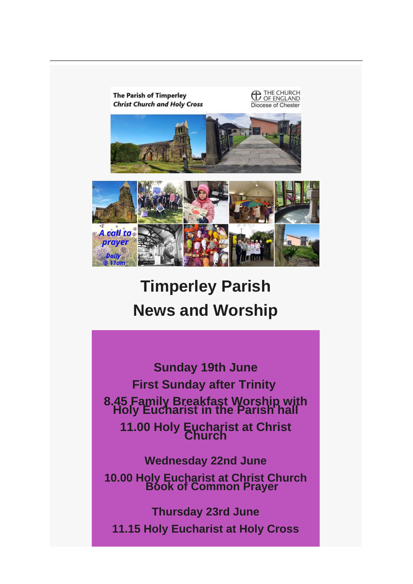

**Timperley Parish News and Worship**

**Sunday 19th June First Sunday after Trinity 8.45 Family Breakfast Worship with Holy Eucharist in the Parish hall 11.00 Holy Eucharist at Christ Church Wednesday 22nd June**

**10.00 Holy Eucharist at Christ Church Book of Common Prayer**

**Thursday 23rd June 11.15 Holy Eucharist at Holy Cross**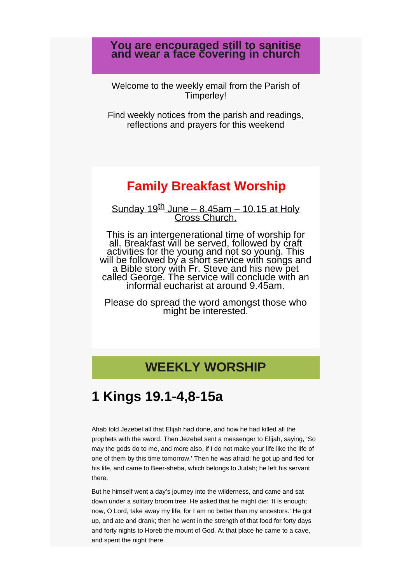## **You are encouraged still to sanitise and wear a face covering in church**

Welcome to the weekly email from the Parish of Timperley!

Find weekly notices from the parish and readings, reflections and prayers for this weekend

# **Family Breakfast Worship**

Sunday  $19^{th}$  June – 8.45am – 10.15 at Holy<br>Cross Church.

This is an intergenerational time of worship for all. Breakfast will be served, followed by craft activities for the young and not so young. This will be followed by a short service with songs and<br>a Bible story with Fr. Steve and his new pet<br>called George. The service will conclude with an<br>informal eucharist at around 9.45am.

Please do spread the word amongst those who might be interested.

# **WEEKLY WORSHIP**

# **1 Kings 19.1-4,8-15a**

Ahab told Jezebel all that Elijah had done, and how he had killed all the prophets with the sword. Then Jezebel sent a messenger to Elijah, saying, 'So may the gods do to me, and more also, if I do not make your life like the life of one of them by this time tomorrow.' Then he was afraid; he got up and fled for his life, and came to Beer-sheba, which belongs to Judah; he left his servant there.

But he himself went a day's journey into the wilderness, and came and sat down under a solitary broom tree. He asked that he might die: 'It is enough; now, O Lord, take away my life, for I am no better than my ancestors.' He got up, and ate and drank; then he went in the strength of that food for forty days and forty nights to Horeb the mount of God. At that place he came to a cave, and spent the night there.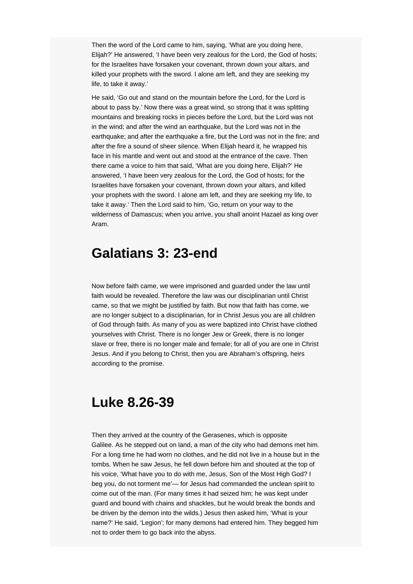Then the word of the Lord came to him, saying, 'What are you doing here, Elijah?' He answered, 'I have been very zealous for the Lord, the God of hosts; for the Israelites have forsaken your covenant, thrown down your altars, and killed your prophets with the sword. I alone am left, and they are seeking my life, to take it away.'

He said, 'Go out and stand on the mountain before the Lord, for the Lord is about to pass by.' Now there was a great wind, so strong that it was splitting mountains and breaking rocks in pieces before the Lord, but the Lord was not in the wind; and after the wind an earthquake, but the Lord was not in the earthquake; and after the earthquake a fire, but the Lord was not in the fire; and after the fire a sound of sheer silence. When Elijah heard it, he wrapped his face in his mantle and went out and stood at the entrance of the cave. Then there came a voice to him that said, 'What are you doing here, Elijah?' He answered, 'I have been very zealous for the Lord, the God of hosts; for the Israelites have forsaken your covenant, thrown down your altars, and killed your prophets with the sword. I alone am left, and they are seeking my life, to take it away.' Then the Lord said to him, 'Go, return on your way to the wilderness of Damascus; when you arrive, you shall anoint Hazael as king over Aram.

# **Galatians 3: 23-end**

Now before faith came, we were imprisoned and guarded under the law until faith would be revealed. Therefore the law was our disciplinarian until Christ came, so that we might be justified by faith. But now that faith has come, we are no longer subject to a disciplinarian, for in Christ Jesus you are all children of God through faith. As many of you as were baptized into Christ have clothed yourselves with Christ. There is no longer Jew or Greek, there is no longer slave or free, there is no longer male and female; for all of you are one in Christ Jesus. And if you belong to Christ, then you are Abraham's offspring, heirs according to the promise.

# **Luke 8.26-39**

Then they arrived at the country of the Gerasenes, which is opposite Galilee. As he stepped out on land, a man of the city who had demons met him. For a long time he had worn no clothes, and he did not live in a house but in the tombs. When he saw Jesus, he fell down before him and shouted at the top of his voice, 'What have you to do with me, Jesus, Son of the Most High God? I beg you, do not torment me'— for Jesus had commanded the unclean spirit to come out of the man. (For many times it had seized him; he was kept under guard and bound with chains and shackles, but he would break the bonds and be driven by the demon into the wilds.) Jesus then asked him, 'What is your name?' He said, 'Legion'; for many demons had entered him. They begged him not to order them to go back into the abyss.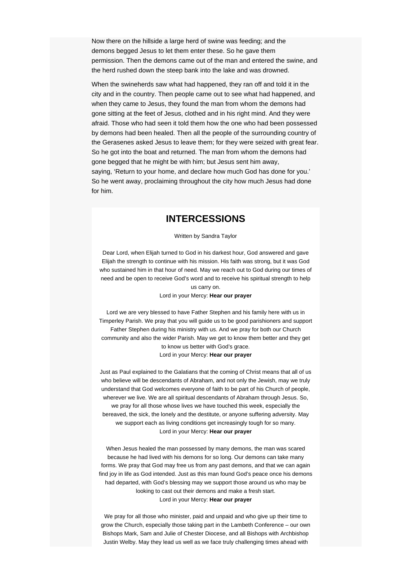Now there on the hillside a large herd of swine was feeding; and the demons begged Jesus to let them enter these. So he gave them permission. Then the demons came out of the man and entered the swine, and the herd rushed down the steep bank into the lake and was drowned.

When the swineherds saw what had happened, they ran off and told it in the city and in the country. Then people came out to see what had happened, and when they came to Jesus, they found the man from whom the demons had gone sitting at the feet of Jesus, clothed and in his right mind. And they were afraid. Those who had seen it told them how the one who had been possessed by demons had been healed. Then all the people of the surrounding country of the Gerasenes asked Jesus to leave them; for they were seized with great fear. So he got into the boat and returned. The man from whom the demons had gone begged that he might be with him; but Jesus sent him away, saying, 'Return to your home, and declare how much God has done for you.' So he went away, proclaiming throughout the city how much Jesus had done for him.

## **INTERCESSIONS**

#### Written by Sandra Taylor

Dear Lord, when Elijah turned to God in his darkest hour, God answered and gave Elijah the strength to continue with his mission. His faith was strong, but it was God who sustained him in that hour of need. May we reach out to God during our times of need and be open to receive God's word and to receive his spiritual strength to help us carry on.

#### Lord in your Mercy: **Hear our prayer**

Lord we are very blessed to have Father Stephen and his family here with us in Timperley Parish. We pray that you will guide us to be good parishioners and support Father Stephen during his ministry with us. And we pray for both our Church community and also the wider Parish. May we get to know them better and they get to know us better with God's grace. Lord in your Mercy: **Hear our prayer**

Just as Paul explained to the Galatians that the coming of Christ means that all of us who believe will be descendants of Abraham, and not only the Jewish, may we truly understand that God welcomes everyone of faith to be part of his Church of people, wherever we live. We are all spiritual descendants of Abraham through Jesus. So, we pray for all those whose lives we have touched this week, especially the bereaved, the sick, the lonely and the destitute, or anyone suffering adversity. May we support each as living conditions get increasingly tough for so many. Lord in your Mercy: **Hear our prayer**

When Jesus healed the man possessed by many demons, the man was scared because he had lived with his demons for so long. Our demons can take many forms. We pray that God may free us from any past demons, and that we can again find joy in life as God intended. Just as this man found God's peace once his demons had departed, with God's blessing may we support those around us who may be looking to cast out their demons and make a fresh start. Lord in your Mercy: **Hear our prayer**

We pray for all those who minister, paid and unpaid and who give up their time to grow the Church, especially those taking part in the Lambeth Conference – our own Bishops Mark, Sam and Julie of Chester Diocese, and all Bishops with Archbishop Justin Welby. May they lead us well as we face truly challenging times ahead with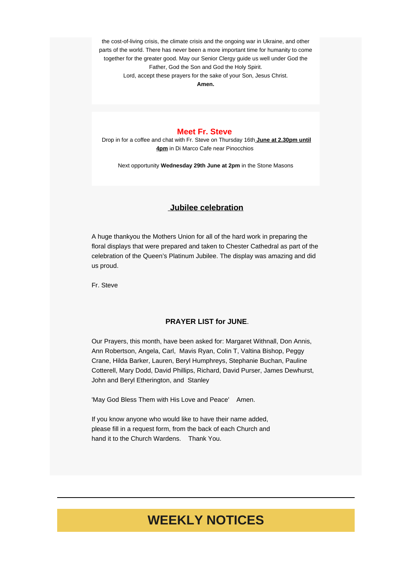the cost-of-living crisis, the climate crisis and the ongoing war in Ukraine, and other parts of the world. There has never been a more important time for humanity to come together for the greater good. May our Senior Clergy guide us well under God the Father, God the Son and God the Holy Spirit. Lord, accept these prayers for the sake of your Son, Jesus Christ.

**Amen.**

#### **Meet Fr. Steve**

Drop in for a coffee and chat with Fr. Steve on Thursday 16th **June at 2.30pm until 4pm** in Di Marco Cafe near Pinocchios.

Next opportunity **Wednesday 29th June at 2pm** in the Stone Masons

## **Jubilee celebration**

A huge thankyou the Mothers Union for all of the hard work in preparing the floral displays that were prepared and taken to Chester Cathedral as part of the celebration of the Queen's Platinum Jubilee. The display was amazing and did us proud.

Fr. Steve

## **PRAYER LIST for JUNE**.

Our Prayers, this month, have been asked for: Margaret Withnall, Don Annis, Ann Robertson, Angela, Carl, Mavis Ryan, Colin T, Valtina Bishop, Peggy Crane, Hilda Barker, Lauren, Beryl Humphreys, Stephanie Buchan, Pauline Cotterell, Mary Dodd, David Phillips, Richard, David Purser, James Dewhurst, John and Beryl Etherington, and Stanley

'May God Bless Them with His Love and Peace' Amen.

If you know anyone who would like to have their name added, please fill in a request form, from the back of each Church and hand it to the Church Wardens. Thank You.

# **WEEKLY NOTICES**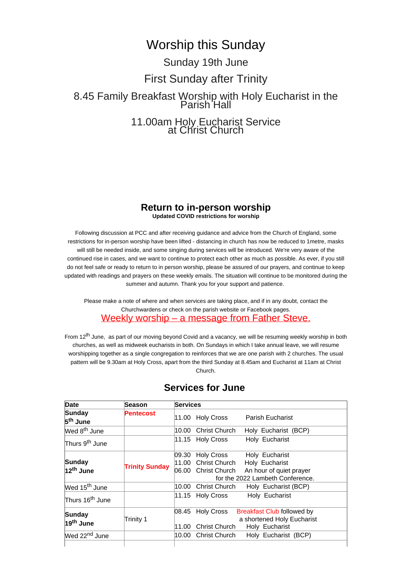# Worship this Sunday

# Sunday 19th June First Sunday after Trinity 8.45 Family Breakfast Worship with Holy Eucharist in the Parish Hall 11.00am Holy Eucharist Service at Christ Church

## **Return to in-person worship Updated COVID restrictions for worship**

Following discussion at PCC and after receiving guidance and advice from the Church of England, some restrictions for in-person worship have been lifted - distancing in church has now be reduced to 1metre, masks will still be needed inside, and some singing during services will be introduced. We're very aware of the continued rise in cases, and we want to continue to protect each other as much as possible. As ever, if you still do not feel safe or ready to return to in person worship, please be assured of our prayers, and continue to keep updated with readings and prayers on these weekly emails. The situation will continue to be monitored during the summer and autumn. Thank you for your support and patience.

Please make a note of where and when services are taking place, and if in any doubt, contact the Churchwardens or check on the parish website or Facebook pages. Weekly worship – a message from Father Steve.

From 12<sup>th</sup> June, as part of our moving beyond Covid and a vacancy, we will be resuming weekly worship in both churches, as well as midweek eucharists in both. On Sundays in which I take annual leave, we will resume worshipping together as a single congregation to reinforces that we are one parish with 2 churches. The usual pattern will be 9.30am at Holy Cross, apart from the third Sunday at 8.45am and Eucharist at 11am at Christ Church.

| Date                                   | Season                | Services |                                                                 |                                                                                                 |  |
|----------------------------------------|-----------------------|----------|-----------------------------------------------------------------|-------------------------------------------------------------------------------------------------|--|
| Sunday<br>5 <sup>th</sup> June         | Pentecost             |          | 11.00 Holy Cross                                                | <b>Parish Eucharist</b>                                                                         |  |
| Wed 8 <sup>th</sup> June               |                       | 10.00    | Christ Church                                                   | Holy Eucharist (BCP)                                                                            |  |
| Thurs 9 <sup>th</sup> June             |                       |          | 11.15 Holy Cross                                                | Holy Eucharist                                                                                  |  |
| <b>Sunday</b><br>12 <sup>th</sup> June | <b>Trinity Sunday</b> | 09.30    | <b>Holy Cross</b><br>11.00 Christ Church<br>06.00 Christ Church | Holy Eucharist<br>Holy Eucharist<br>An hour of quiet prayer<br>for the 2022 Lambeth Conference. |  |
| Wed 15 <sup>th</sup> June              |                       |          | 10.00 Christ Church                                             | Holy Eucharist (BCP)                                                                            |  |
| Thurs 16 <sup>th</sup> June            |                       |          | 11.15 Holy Cross                                                | Holy Eucharist                                                                                  |  |
| <b>Sunday</b><br>19 <sup>th</sup> June | Trinity 1             | 11.00    | $ 08.45$ Holy Cross<br>Christ Church                            | <b>Breakfast Club followed by</b><br>a shortened Holy Eucharist<br>Holy Eucharist               |  |
| Wed 22 <sup>nd</sup> June              |                       | 10.00    | <b>Christ Church</b>                                            | Holy Eucharist (BCP)                                                                            |  |
|                                        |                       |          |                                                                 |                                                                                                 |  |

## **Services for June**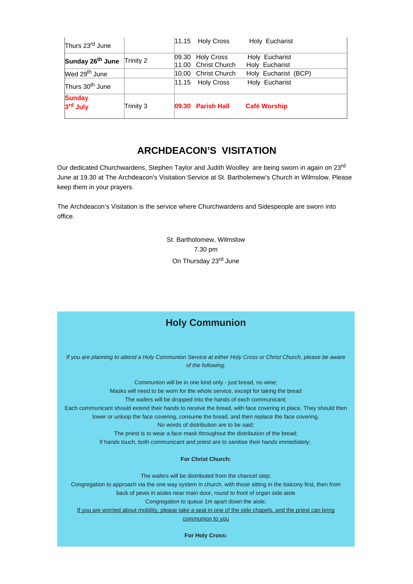| <b>Sunday</b><br>3 <sup>rd</sup> July | Trinity 3 |       | 09.30 Parish Hall                       | <b>Café Worship</b>              |
|---------------------------------------|-----------|-------|-----------------------------------------|----------------------------------|
| Thurs 30 <sup>th</sup> June           |           | 11.15 | <b>Holy Cross</b>                       | Holy Eucharist                   |
| Wed 29 <sup>th</sup> June             |           | 10.00 | <b>Christ Church</b>                    | Holy Eucharist (BCP)             |
| Sunday 26 <sup>th</sup> June          | Trinity 2 |       | 09.30 Holy Cross<br>11.00 Christ Church | Holy Eucharist<br>Holy Eucharist |
| Thurs 23rd June                       |           |       | 11.15 Holy Cross                        | Holy Eucharist                   |

## **ARCHDEACON'S VISITATION**

Our dedicated Churchwardens, Stephen Taylor and Judith Woolley are being sworn in again on 23<sup>rd</sup> June at 19.30 at The Archdeacon's Visitation Service at St. Bartholemew's Church in Wilmslow. Please keep them in your prayers.

The Archdeacon's Visitation is the service where Churchwardens and Sidespeople are sworn into office.

> St. Bartholomew, Wilmslow 7.30 pm On Thursday 23<sup>rd</sup> June

## **Holy Communion**

*If you are planning to attend a Holy Communion Service at either Holy Cross or Christ Church, please be aware of the following:*

Communion will be in one kind only - just bread, no wine; Masks will need to be worn for the whole service, except for taking the bread The wafers will be dropped into the hands of each communicant; Each communicant should extend their hands to receive the bread, with face covering in place. They should then lower or unloop the face covering, consume the bread, and then replace the face covering. No words of distribution are to be said;

The priest is to wear a face mask throughout the distribution of the bread; If hands touch, both communicant and priest are to sanitise their hands immediately;

#### **For Christ Church:**

The wafers will be distributed from the chancel step;

Congregation to approach via the one way system in church, with those sitting in the balcony first, then from back of pews in aisles near main door, round to front of organ side aisle

Congregation to queue 1m apart down the aisle;

If you are worried about mobility, please take a seat in one of the side chapels, and the priest can bring communion to you

**For Holy Cross:**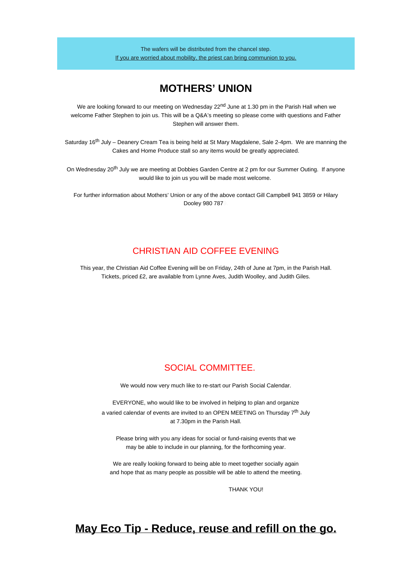The wafers will be distributed from the chancel step. If you are worried about mobility, the priest can bring communion to you.

## **MOTHERS' UNION**

We are looking forward to our meeting on Wednesday 22<sup>nd</sup> June at 1.30 pm in the Parish Hall when we welcome Father Stephen to join us. This will be a Q&A's meeting so please come with questions and Father Stephen will answer them.

Saturday 16<sup>th</sup> July – Deanery Cream Tea is being held at St Mary Magdalene, Sale 2-4pm. We are manning the Cakes and Home Produce stall so any items would be greatly appreciated.

On Wednesday 20<sup>th</sup> July we are meeting at Dobbies Garden Centre at 2 pm for our Summer Outing. If anyone would like to join us you will be made most welcome.

For further information about Mothers' Union or any of the above contact Gill Campbell 941 3859 or Hilary Dooley 980 787

## CHRISTIAN AID COFFEE EVENING

This year, the Christian Aid Coffee Evening will be on Friday, 24th of June at 7pm, in the Parish Hall. Tickets, priced £2, are available from Lynne Aves, Judith Woolley, and Judith Giles.

## SOCIAL COMMITTEE.

We would now very much like to re-start our Parish Social Calendar.

EVERYONE, who would like to be involved in helping to plan and organize a varied calendar of events are invited to an OPEN MEETING on Thursday  $7<sup>th</sup>$  July at 7.30pm in the Parish Hall.

Please bring with you any ideas for social or fund-raising events that we may be able to include in our planning, for the forthcoming year.

We are really looking forward to being able to meet together socially again and hope that as many people as possible will be able to attend the meeting.

THANK YOU!

## **May Eco Tip - Reduce, reuse and refill on the go.**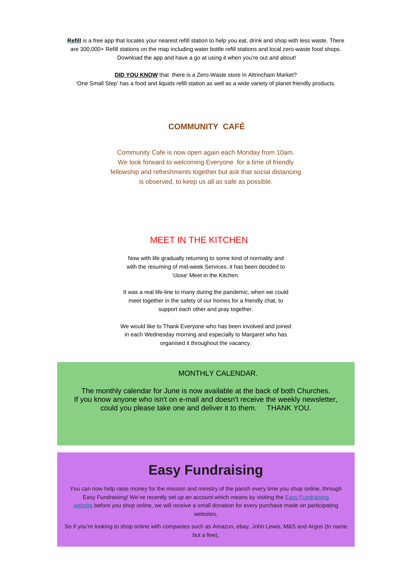**[Refill](https://outlook.us6.list-manage.com/track/click?u=e2de3afc1ab78c112cf61e470&id=aa29ea6509&e=275168f7cf)** is a free app that locates your nearest refill station to help you eat, drink and shop with less waste. There are 300,000+ Refill stations on the map including water bottle refill stations and local zero-waste food shops. Download the app and have a go at using it when you're out and about!

**DID YOU KNOW** that there is a Zero-Waste store in Altrincham Market? 'One Small Step' has a food and liquids refill station as well as a wide variety of planet friendly products.

## **COMMUNITY CAFÉ**

Community Cafe is now open again each Monday from 10am. We look forward to welcoming Everyone for a time of friendly fellowship and refreshments together but ask that social distancing is observed, to keep us all as safe as possible.

## MEET IN THE KITCHEN

Now with life gradually returning to some kind of normality and with the resuming of mid-week Services, it has been decided to 'close' Meet in the Kitchen.

It was a real life-line to many during the pandemic, when we could meet together in the safety of our homes for a friendly chat, to support each other and pray together.

We would like to Thank Everyone who has been involved and joined in each Wednesday morning and especially to Margaret who has organised it throughout the vacancy.

## . MONTHLY CALENDAR.

The monthly calendar for June is now available at the back of both Churches. If you know anyone who isn't on e-mail and doesn't receive the weekly newsletter, could you please take one and deliver it to them. THANK YOU.

# **Easy Fundraising**

You can now help raise money for the mission and ministry of the parish every time you shop online, through [Easy Fundraising](https://outlook.us6.list-manage.com/track/click?u=e2de3afc1ab78c112cf61e470&id=dacc360024&e=275168f7cf)! We've recently set up an account which means by visiting the Easy Fundraising [website](https://outlook.us6.list-manage.com/track/click?u=e2de3afc1ab78c112cf61e470&id=dacc360024&e=275168f7cf) before you shop online, we will receive a small donation for every purchase made on participating websites.

So if you're looking to shop online with companies such as Amazon, ebay, John Lewis, M&S and Argos (to name but a few),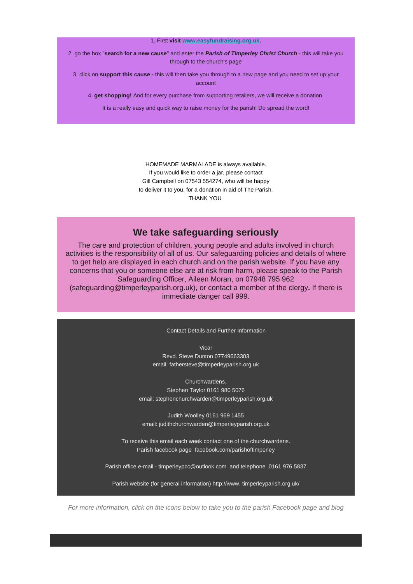#### 1. First **visit [www.easyfundraising.org.uk](https://outlook.us6.list-manage.com/track/click?u=e2de3afc1ab78c112cf61e470&id=999dc6b93e&e=275168f7cf).**

2. go the box "**search for a new cause**" and enter the *Parish of Timperley Christ Church* - this will take you through to the church's page

3. click on **support this cause -** this will then take you through to a new page and you need to set up your account

4. **get shopping!** And for every purchase from supporting retailers, we will receive a donation.

It is a really easy and quick way to raise money for the parish! Do spread the word!

HOMEMADE MARMALADE is always available. If you would like to order a jar, please contact Gill Campbell on 07543 554274, who will be happy to deliver it to you, for a donation in aid of The Parish. THANK YOU.

## **We take safeguarding seriously**

The care and protection of children, young people and adults involved in church activities is the responsibility of all of us. Our safeguarding policies and details of where to get help are displayed in each church and on the parish website. If you have any concerns that you or someone else are at risk from harm, please speak to the Parish Safeguarding Officer, Aileen Moran, on 07948 795 962

(safeguarding@timperleyparish.org.uk), or contact a member of the clergy**.** If there is immediate danger call 999.

#### Contact Details and Further Information

Vicar

Revd. Steve Dunton 07749663303 email: fathersteve@timperleyparish.org.uk

Churchwardens. Stephen Taylor 0161 980 5076 email: stephenchurchwarden@timperleyparish.org.uk

Judith Woolley 0161 969 1455 email: judithchurchwarden@timperleyparish.org.uk

To receive this email each week contact one of the churchwardens. Parish facebook page facebook.com/parishoftimperley

Parish office e-mail - timperleypcc@outlook.com and telephone 0161 976 5837

Parish website (for general information) http://www. timperleyparish.org.uk/

*For more information, click on the icons below to take you to the parish Facebook page and blog*